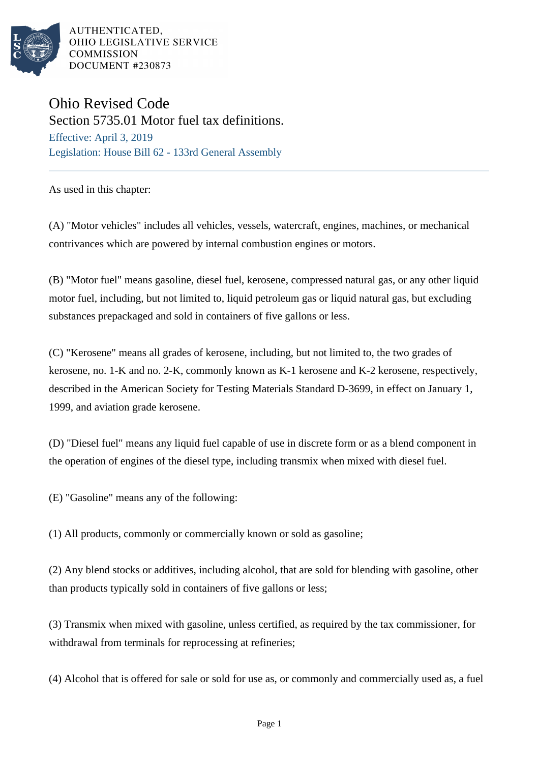

## Ohio Revised Code Section 5735.01 Motor fuel tax definitions.

Effective: April 3, 2019 Legislation: House Bill 62 - 133rd General Assembly

As used in this chapter:

(A) "Motor vehicles" includes all vehicles, vessels, watercraft, engines, machines, or mechanical contrivances which are powered by internal combustion engines or motors.

(B) "Motor fuel" means gasoline, diesel fuel, kerosene, compressed natural gas, or any other liquid motor fuel, including, but not limited to, liquid petroleum gas or liquid natural gas, but excluding substances prepackaged and sold in containers of five gallons or less.

(C) "Kerosene" means all grades of kerosene, including, but not limited to, the two grades of kerosene, no. 1-K and no. 2-K, commonly known as K-1 kerosene and K-2 kerosene, respectively, described in the American Society for Testing Materials Standard D-3699, in effect on January 1, 1999, and aviation grade kerosene.

(D) "Diesel fuel" means any liquid fuel capable of use in discrete form or as a blend component in the operation of engines of the diesel type, including transmix when mixed with diesel fuel.

(E) "Gasoline" means any of the following:

(1) All products, commonly or commercially known or sold as gasoline;

(2) Any blend stocks or additives, including alcohol, that are sold for blending with gasoline, other than products typically sold in containers of five gallons or less;

(3) Transmix when mixed with gasoline, unless certified, as required by the tax commissioner, for withdrawal from terminals for reprocessing at refineries;

(4) Alcohol that is offered for sale or sold for use as, or commonly and commercially used as, a fuel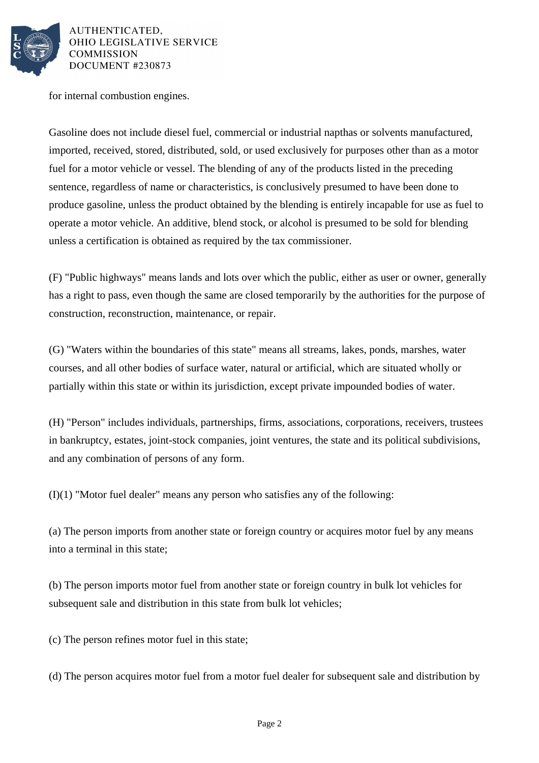

for internal combustion engines.

Gasoline does not include diesel fuel, commercial or industrial napthas or solvents manufactured, imported, received, stored, distributed, sold, or used exclusively for purposes other than as a motor fuel for a motor vehicle or vessel. The blending of any of the products listed in the preceding sentence, regardless of name or characteristics, is conclusively presumed to have been done to produce gasoline, unless the product obtained by the blending is entirely incapable for use as fuel to operate a motor vehicle. An additive, blend stock, or alcohol is presumed to be sold for blending unless a certification is obtained as required by the tax commissioner.

(F) "Public highways" means lands and lots over which the public, either as user or owner, generally has a right to pass, even though the same are closed temporarily by the authorities for the purpose of construction, reconstruction, maintenance, or repair.

(G) "Waters within the boundaries of this state" means all streams, lakes, ponds, marshes, water courses, and all other bodies of surface water, natural or artificial, which are situated wholly or partially within this state or within its jurisdiction, except private impounded bodies of water.

(H) "Person" includes individuals, partnerships, firms, associations, corporations, receivers, trustees in bankruptcy, estates, joint-stock companies, joint ventures, the state and its political subdivisions, and any combination of persons of any form.

(I)(1) "Motor fuel dealer" means any person who satisfies any of the following:

(a) The person imports from another state or foreign country or acquires motor fuel by any means into a terminal in this state;

(b) The person imports motor fuel from another state or foreign country in bulk lot vehicles for subsequent sale and distribution in this state from bulk lot vehicles;

(c) The person refines motor fuel in this state;

(d) The person acquires motor fuel from a motor fuel dealer for subsequent sale and distribution by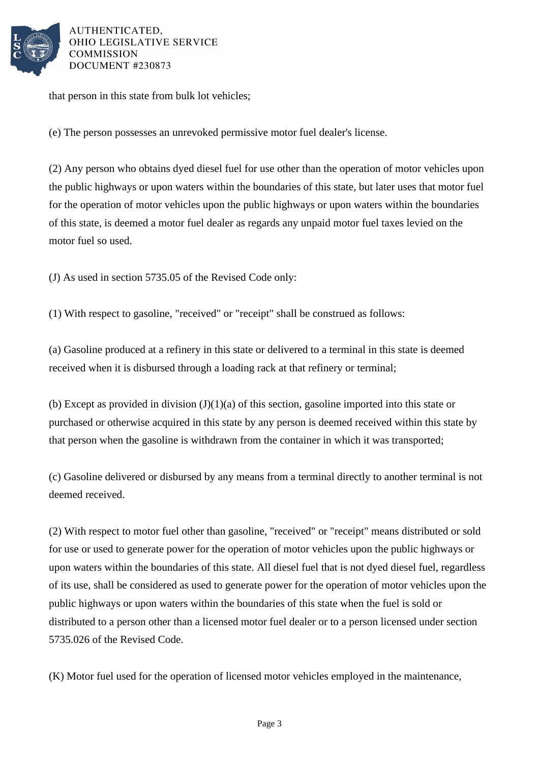

that person in this state from bulk lot vehicles;

(e) The person possesses an unrevoked permissive motor fuel dealer's license.

(2) Any person who obtains dyed diesel fuel for use other than the operation of motor vehicles upon the public highways or upon waters within the boundaries of this state, but later uses that motor fuel for the operation of motor vehicles upon the public highways or upon waters within the boundaries of this state, is deemed a motor fuel dealer as regards any unpaid motor fuel taxes levied on the motor fuel so used.

(J) As used in section 5735.05 of the Revised Code only:

(1) With respect to gasoline, "received" or "receipt" shall be construed as follows:

(a) Gasoline produced at a refinery in this state or delivered to a terminal in this state is deemed received when it is disbursed through a loading rack at that refinery or terminal;

(b) Except as provided in division  $(J)(1)(a)$  of this section, gasoline imported into this state or purchased or otherwise acquired in this state by any person is deemed received within this state by that person when the gasoline is withdrawn from the container in which it was transported;

(c) Gasoline delivered or disbursed by any means from a terminal directly to another terminal is not deemed received.

(2) With respect to motor fuel other than gasoline, "received" or "receipt" means distributed or sold for use or used to generate power for the operation of motor vehicles upon the public highways or upon waters within the boundaries of this state. All diesel fuel that is not dyed diesel fuel, regardless of its use, shall be considered as used to generate power for the operation of motor vehicles upon the public highways or upon waters within the boundaries of this state when the fuel is sold or distributed to a person other than a licensed motor fuel dealer or to a person licensed under section 5735.026 of the Revised Code.

(K) Motor fuel used for the operation of licensed motor vehicles employed in the maintenance,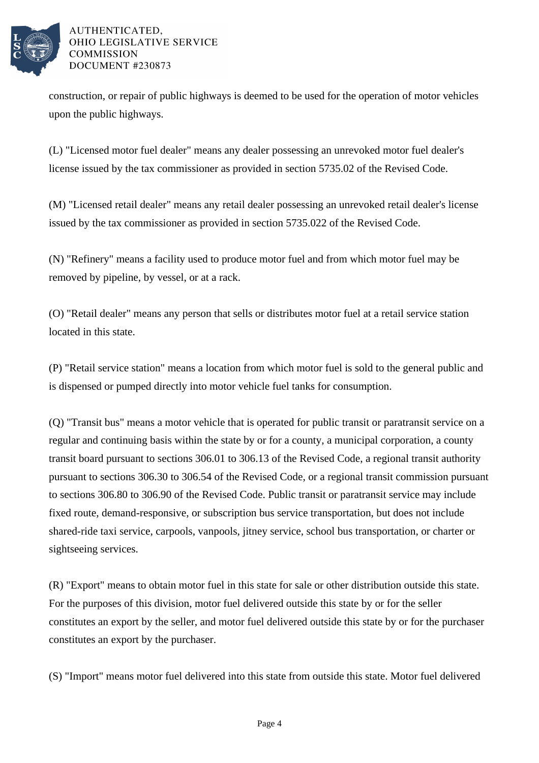

construction, or repair of public highways is deemed to be used for the operation of motor vehicles upon the public highways.

(L) "Licensed motor fuel dealer" means any dealer possessing an unrevoked motor fuel dealer's license issued by the tax commissioner as provided in section 5735.02 of the Revised Code.

(M) "Licensed retail dealer" means any retail dealer possessing an unrevoked retail dealer's license issued by the tax commissioner as provided in section 5735.022 of the Revised Code.

(N) "Refinery" means a facility used to produce motor fuel and from which motor fuel may be removed by pipeline, by vessel, or at a rack.

(O) "Retail dealer" means any person that sells or distributes motor fuel at a retail service station located in this state.

(P) "Retail service station" means a location from which motor fuel is sold to the general public and is dispensed or pumped directly into motor vehicle fuel tanks for consumption.

(Q) "Transit bus" means a motor vehicle that is operated for public transit or paratransit service on a regular and continuing basis within the state by or for a county, a municipal corporation, a county transit board pursuant to sections 306.01 to 306.13 of the Revised Code, a regional transit authority pursuant to sections 306.30 to 306.54 of the Revised Code, or a regional transit commission pursuant to sections 306.80 to 306.90 of the Revised Code. Public transit or paratransit service may include fixed route, demand-responsive, or subscription bus service transportation, but does not include shared-ride taxi service, carpools, vanpools, jitney service, school bus transportation, or charter or sightseeing services.

(R) "Export" means to obtain motor fuel in this state for sale or other distribution outside this state. For the purposes of this division, motor fuel delivered outside this state by or for the seller constitutes an export by the seller, and motor fuel delivered outside this state by or for the purchaser constitutes an export by the purchaser.

(S) "Import" means motor fuel delivered into this state from outside this state. Motor fuel delivered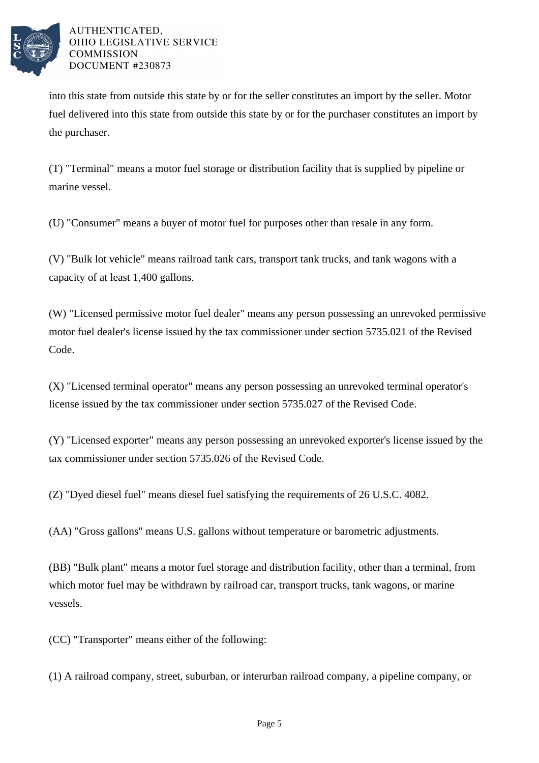

into this state from outside this state by or for the seller constitutes an import by the seller. Motor fuel delivered into this state from outside this state by or for the purchaser constitutes an import by the purchaser.

(T) "Terminal" means a motor fuel storage or distribution facility that is supplied by pipeline or marine vessel.

(U) "Consumer" means a buyer of motor fuel for purposes other than resale in any form.

(V) "Bulk lot vehicle" means railroad tank cars, transport tank trucks, and tank wagons with a capacity of at least 1,400 gallons.

(W) "Licensed permissive motor fuel dealer" means any person possessing an unrevoked permissive motor fuel dealer's license issued by the tax commissioner under section 5735.021 of the Revised Code.

(X) "Licensed terminal operator" means any person possessing an unrevoked terminal operator's license issued by the tax commissioner under section 5735.027 of the Revised Code.

(Y) "Licensed exporter" means any person possessing an unrevoked exporter's license issued by the tax commissioner under section 5735.026 of the Revised Code.

(Z) "Dyed diesel fuel" means diesel fuel satisfying the requirements of 26 U.S.C. 4082.

(AA) "Gross gallons" means U.S. gallons without temperature or barometric adjustments.

(BB) "Bulk plant" means a motor fuel storage and distribution facility, other than a terminal, from which motor fuel may be withdrawn by railroad car, transport trucks, tank wagons, or marine vessels.

(CC) "Transporter" means either of the following:

(1) A railroad company, street, suburban, or interurban railroad company, a pipeline company, or